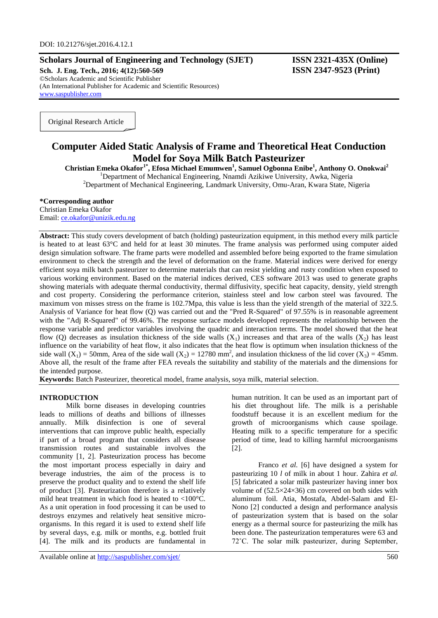# **Scholars Journal of Engineering and Technology (SJET) ISSN 2321-435X (Online)**

**Sch. J. Eng. Tech., 2016; 4(12):560-569 ISSN 2347-9523 (Print)** ©Scholars Academic and Scientific Publisher (An International Publisher for Academic and Scientific Resources) [www.saspublisher.com](http://www.saspublisher.com/)

Original Research Article

# **Computer Aided Static Analysis of Frame and Theoretical Heat Conduction Model for Soya Milk Batch Pasteurizer**

**Christian Emeka Okafor1\*, Efosa Michael Emumwen<sup>1</sup> , Samuel Ogbonna Enibe<sup>1</sup> , Anthony O. Onokwai<sup>2</sup>** <sup>1</sup>Department of Mechanical Engineering, Nnamdi Azikiwe University, Awka, Nigeria

<sup>2</sup>Department of Mechanical Engineering, Landmark University, Omu-Aran, Kwara State, Nigeria

### **\*Corresponding author**

Christian Emeka Okafor Email: [ce.okafor@unizik.edu.ng](mailto:ce.okafor@unizik.edu.ng)

**Abstract:** This study covers development of batch (holding) pasteurization equipment, in this method every milk particle is heated to at least 63°C and held for at least 30 minutes. The frame analysis was performed using computer aided design simulation software. The frame parts were modelled and assembled before being exported to the frame simulation environment to check the strength and the level of deformation on the frame. Material indices were derived for energy efficient soya milk batch pasteurizer to determine materials that can resist yielding and rusty condition when exposed to various working environment. Based on the material indices derived, CES software 2013 was used to generate graphs showing materials with adequate thermal conductivity, thermal diffusivity, specific heat capacity, density, yield strength and cost property. Considering the performance criterion, stainless steel and low carbon steel was favoured. The maximum von misses stress on the frame is 102.7Mpa, this value is less than the yield strength of the material of 322.5. Analysis of Variance for heat flow (Q) was carried out and the "Pred R-Squared" of 97.55% is in reasonable agreement with the "Adj R-Squared" of 99.46%. The response surface models developed represents the relationship between the response variable and predictor variables involving the quadric and interaction terms. The model showed that the heat flow (Q) decreases as insulation thickness of the side walls  $(X_1)$  increases and that area of the walls  $(X_2)$  has least influence on the variability of heat flow, it also indicates that the heat flow is optimum when insulation thickness of the side wall  $(X_1) = 50$ mm, Area of the side wall  $(X_2) = 12780$  mm<sup>2</sup>, and insulation thickness of the lid cover  $(X_3) = 45$ mm. Above all, the result of the frame after FEA reveals the suitability and stability of the materials and the dimensions for the intended purpose.

**Keywords:** Batch Pasteurizer, theoretical model, frame analysis, soya milk, material selection.

# **INTRODUCTION**

Milk borne diseases in developing countries leads to millions of deaths and billions of illnesses annually. Milk disinfection is one of several interventions that can improve public health, especially if part of a broad program that considers all disease transmission routes and sustainable involves the community [1, 2]. Pasteurization process has become the most important process especially in dairy and beverage industries, the aim of the process is to preserve the product quality and to extend the shelf life of product [3]. Pasteurization therefore is a relatively mild heat treatment in which food is heated to <100°C. As a unit operation in food processing it can be used to destroys enzymes and relatively heat sensitive microorganisms. In this regard it is used to extend shelf life by several days, e.g. milk or months, e.g. bottled fruit [4]. The milk and its products are fundamental in

human nutrition. It can be used as an important part of his diet throughout life. The milk is a perishable foodstuff because it is an excellent medium for the growth of microorganisms which cause spoilage. Heating milk to a specific temperature for a specific period of time, lead to killing harmful microorganisms [2].

Franco *et al.* [6] have designed a system for pasteurizing 10 *l* of milk in about 1 hour. Zahira *et al.* [5] fabricated a solar milk pasteurizer having inner box volume of  $(52.5\times24\times36)$  cm covered on both sides with aluminum foil. Atia, Mostafa, Abdel-Salam and El-Nono [2] conducted a design and performance analysis of pasteurization system that is based on the solar energy as a thermal source for pasteurizing the milk has been done. The pasteurization temperatures were 63 and 72˚C. The solar milk pasteurizer, during September,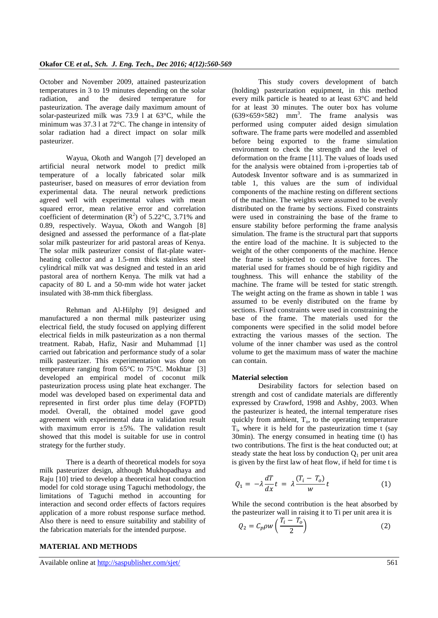October and November 2009, attained pasteurization temperatures in 3 to 19 minutes depending on the solar radiation, and the desired temperature for pasteurization. The average daily maximum amount of solar-pasteurized milk was 73.9 l at 63°C, while the minimum was 37.3 l at 72°C. The change in intensity of solar radiation had a direct impact on solar milk pasteurizer.

Wayua, Okoth and Wangoh [7] developed an artificial neural network model to predict milk temperature of a locally fabricated solar milk pasteuriser, based on measures of error deviation from experimental data. The neural network predictions agreed well with experimental values with mean squared error, mean relative error and correlation coefficient of determination  $(R^2)$  of 5.22°C, 3.71% and 0.89, respectively. Wayua, Okoth and Wangoh [8] designed and assessed the performance of a flat-plate solar milk pasteurizer for arid pastoral areas of Kenya. The solar milk pasteurizer consist of flat-plate waterheating collector and a 1.5-mm thick stainless steel cylindrical milk vat was designed and tested in an arid pastoral area of northern Kenya. The milk vat had a capacity of 80 L and a 50-mm wide hot water jacket insulated with 38-mm thick fiberglass.

Rehman and Al-Hilphy [9] designed and manufactured a non thermal milk pasteurizer using electrical field, the study focused on applying different electrical fields in milk pasteurization as a non thermal treatment. Rabab, Hafiz, Nasir and Muhammad [1] carried out fabrication and performance study of a solar milk pasteurizer. This experimentation was done on temperature ranging from  $65^{\circ}$ C to  $75^{\circ}$ C. Mokhtar [3] developed an empirical model of coconut milk pasteurization process using plate heat exchanger. The model was developed based on experimental data and represented in first order plus time delay (FOPTD) model. Overall, the obtained model gave good agreement with experimental data in validation result with maximum error is  $\pm 5\%$ . The validation result showed that this model is suitable for use in control strategy for the further study.

There is a dearth of theoretical models for soya milk pasteurizer design, although Mukhopadhaya and Raju [10] tried to develop a theoretical heat conduction model for cold storage using Taguchi methodology, the limitations of Taguchi method in accounting for interaction and second order effects of factors requires application of a more robust response surface method. Also there is need to ensure suitability and stability of the fabrication materials for the intended purpose.

# **MATERIAL AND METHODS**

Available online at<http://saspublisher.com/sjet/> 561

This study covers development of batch (holding) pasteurization equipment, in this method every milk particle is heated to at least 63°C and held for at least 30 minutes. The outer box has volume  $(639\times659\times582)$  mm<sup>3</sup>. The frame analysis was performed using computer aided design simulation software. The frame parts were modelled and assembled before being exported to the frame simulation environment to check the strength and the level of deformation on the frame [11]. The values of loads used for the analysis were obtained from i-properties tab of Autodesk Inventor software and is as summarized in table 1, this values are the sum of individual components of the machine resting on different sections of the machine. The weights were assumed to be evenly distributed on the frame by sections. Fixed constraints were used in constraining the base of the frame to ensure stability before performing the frame analysis simulation. The frame is the structural part that supports the entire load of the machine. It is subjected to the weight of the other components of the machine. Hence the frame is subjected to compressive forces. The material used for frames should be of high rigidity and toughness. This will enhance the stability of the machine. The frame will be tested for static strength. The weight acting on the frame as shown in table 1 was assumed to be evenly distributed on the frame by sections. Fixed constraints were used in constraining the base of the frame. The materials used for the components were specified in the solid model before extracting the various masses of the section. The volume of the inner chamber was used as the control volume to get the maximum mass of water the machine can contain.

### **Material selection**

Desirability factors for selection based on strength and cost of candidate materials are differently expressed by Crawford, 1998 and Ashby, 2003. When the pasteurizer is heated, the internal temperature rises quickly from ambient,  $T<sub>o</sub>$ , to the operating temperature  $T_i$ , where it is held for the pasteurization time t (say 30min). The energy consumed in heating time (t) has two contributions. The first is the heat conducted out; at steady state the heat loss by conduction  $Q_1$  per unit area is given by the first law of heat flow, if held for time t is

$$
Q_1 = -\lambda \frac{dT}{dx} t = \lambda \frac{(T_i - T_o)}{w} t \tag{1}
$$

While the second contribution is the heat absorbed by the pasteurizer wall in raising it to Ti per unit area it is

$$
Q_2 = C_p \rho w \left(\frac{T_i - T_o}{2}\right) \tag{2}
$$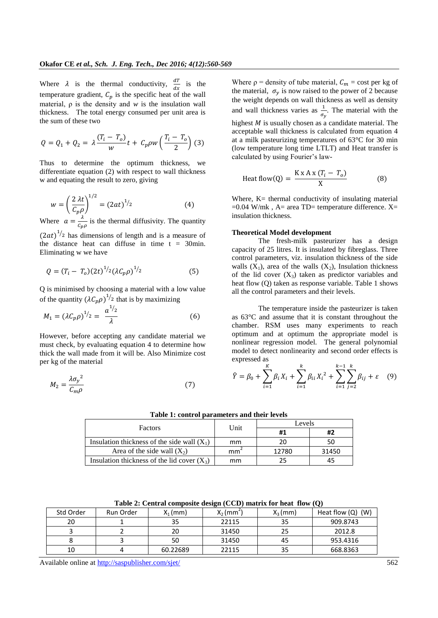Where  $\lambda$  is the thermal conductivity,  $\frac{di}{dx}$  is the temperature gradient,  $C_n$  is the specific heat of the wall material, ρ is the density and *w* is the insulation wall thickness. The total energy consumed per unit area is the sum of these two

$$
Q = Q_1 + Q_2 = \lambda \frac{(T_i - T_o)}{w} t + C_p \rho w \left(\frac{T_i - T_o}{2}\right)
$$
 (3)

Thus to determine the optimum thickness, we differentiate equation (2) with respect to wall thickness w and equating the result to zero, giving

$$
w = \left(\frac{2\lambda t}{C_p \rho}\right)^{1/2} = (2at)^{1/2}
$$
 (4)

Where  $a = \frac{\lambda}{a}$  $\frac{\pi}{c_{\nu\rho}}$  is the thermal diffusivity. The quantity  $(2at)^{1/2}$  has dimensions of length and is a measure of

the distance heat can diffuse in time  $t = 30$ min. Eliminating w we have

$$
Q = (T_i - T_o)(2t)^{1/2} (\lambda C_p \rho)^{1/2}
$$
 (5)

Q is minimised by choosing a material with a low value of the quantity  $(\lambda C_p \rho)^{1/2}$  that is by maximizing

$$
M_1 = (\lambda C_p \rho)^{1/2} = \frac{a^{1/2}}{\lambda}
$$
 (6)

However, before accepting any candidate material we must check, by evaluating equation 4 to determine how thick the wall made from it will be. Also Minimize cost per kg of the material

$$
M_2 = \frac{\lambda \sigma_y^2}{C_m \rho} \tag{7}
$$

Where  $p =$  density of tube material,  $C_m = \text{cost per kg of}$ the material,  $\sigma_{\gamma}$  is now raised to the power of 2 because the weight depends on wall thickness as well as density and wall thickness varies as  $\frac{1}{\sigma_v}$ . The material with the highest  $M$  is usually chosen as a candidate material. The acceptable wall thickness is calculated from equation 4 at a milk pasteurizing temperatures of 63°C for 30 min (low temperature long time LTLT) and Heat transfer is calculated by using Fourier's law-

$$
Heat flow(Q) = \frac{K \times A \times (T_i - T_o)}{X}
$$
 (8)

Where,  $K=$  thermal conductivity of insulating material  $=0.04$  W/mk, A= area TD= temperature difference. X= insulation thickness.

### **Theoretical Model development**

The fresh-milk pasteurizer has a design capacity of 25 litres. It is insulated by fibreglass. Three control parameters, viz. insulation thickness of the side walls  $(X_1)$ , area of the walls  $(X_2)$ , Insulation thickness of the lid cover  $(X_3)$  taken as predictor variables and heat flow (Q) taken as response variable. Table 1 shows all the control parameters and their levels.

The temperature inside the pasteurizer is taken as 63°C and assume that it is constant throughout the chamber. RSM uses many experiments to reach optimum and at optimum the appropriate model is nonlinear regression model. The general polynomial model to detect nonlinearity and second order effects is expressed as

$$
\hat{Y} = \beta_0 + \sum_{i=1}^{K} \beta_i X_i + \sum_{i=1}^{k} \beta_{ii} X_i^2 + \sum_{i=1}^{k-1} \sum_{j=2}^{k} \beta_{ij} + \varepsilon \quad (9)
$$

# **Table 1: control parameters and their levels**

|                                               |      | Levels |       |  |
|-----------------------------------------------|------|--------|-------|--|
| Factors                                       | Unit | #1     | #2    |  |
| Insulation thickness of the side wall $(X_1)$ | mm   | 20     | 50    |  |
| Area of the side wall $(X_2)$                 | mmʻ  | 12780  | 31450 |  |
| Insulation thickness of the lid cover $(X_3)$ | mm   | つら     |       |  |

**Table 2: Central composite design (CCD) matrix for heat flow (Q)**

| Std Order | Run Order | $X_1$ (mm) | $X_2$ (mm <sup>2</sup> | $X_3$ (mm) | Heat flow $(Q)$ $(W)$ |
|-----------|-----------|------------|------------------------|------------|-----------------------|
| 20        |           | 35         | 22115                  | 35         | 909.8743              |
|           |           | 20         | 31450                  | 25         | 2012.8                |
|           |           | 50         | 31450                  | 45         | 953.4316              |
| 10        |           | 60.22689   | 22115                  | 35         | 668.8363              |

Available online at<http://saspublisher.com/sjet/> 562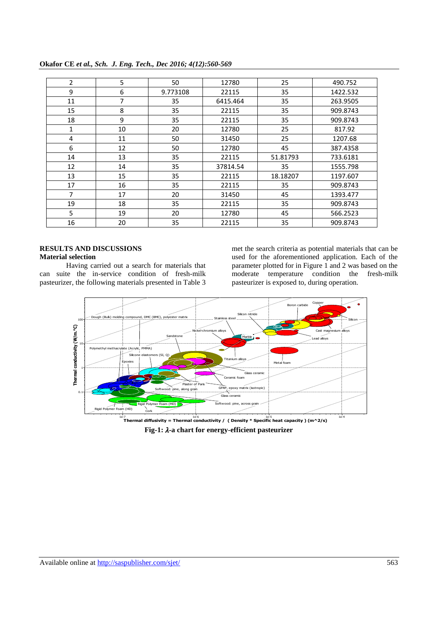| $\overline{2}$ | 5  | 50       | 12780    | 25       | 490.752  |
|----------------|----|----------|----------|----------|----------|
| 9              | 6  | 9.773108 | 22115    | 35       | 1422.532 |
| 11             | 7  | 35       | 6415.464 | 35       | 263.9505 |
| 15             | 8  | 35       | 22115    | 35       | 909.8743 |
| 18             | 9  | 35       | 22115    | 35       | 909.8743 |
| $\mathbf{1}$   | 10 | 20       | 12780    | 25       | 817.92   |
| 4              | 11 | 50       | 31450    | 25       | 1207.68  |
| 6              | 12 | 50       | 12780    | 45       | 387.4358 |
| 14             | 13 | 35       | 22115    | 51.81793 | 733.6181 |
| 12             | 14 | 35       | 37814.54 | 35       | 1555.798 |
| 13             | 15 | 35       | 22115    | 18.18207 | 1197.607 |
| 17             | 16 | 35       | 22115    | 35       | 909.8743 |
| $\overline{7}$ | 17 | 20       | 31450    | 45       | 1393.477 |
| 19             | 18 | 35       | 22115    | 35       | 909.8743 |
| 5              | 19 | 20       | 12780    | 45       | 566.2523 |
| 16             | 20 | 35       | 22115    | 35       | 909.8743 |

**Okafor CE** *et al., Sch. J. Eng. Tech., Dec 2016; 4(12):560-569*

# **RESULTS AND DISCUSSIONS Material selection**

Having carried out a search for materials that can suite the in-service condition of fresh-milk pasteurizer, the following materials presented in Table 3

met the search criteria as potential materials that can be used for the aforementioned application. Each of the parameter plotted for in Figure 1 and 2 was based on the moderate temperature condition the fresh-milk pasteurizer is exposed to, during operation.



**Fig-1:** λ-a chart for energy-efficient pasteurizer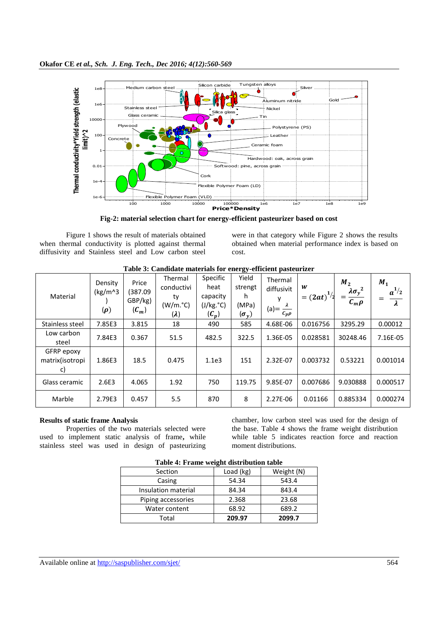

**Fig-2: material selection chart for energy-efficient pasteurizer based on cost**

Figure 1 shows the result of materials obtained when thermal conductivity is plotted against thermal diffusivity and Stainless steel and Low carbon steel

were in that category while Figure 2 shows the results obtained when material performance index is based on cost.

| Material                            | Density<br>(kg/m <sup>2</sup> )<br>$(\boldsymbol{\rho})$ | Price<br>(387.09<br>GBP/kg)<br>$(C_m)$ | Thermal<br>conductivi<br>ty<br>(W/m. <sup>°</sup> C)<br>$(\lambda)$ | Specific<br>heat<br>capacity<br>(J/kg. <sup>°</sup> C)<br>$(C_p)$ | ອຸ<br>Yield<br>strengt<br>h<br>(MPa)<br>$(\sigma_y)$ | Thermal<br>diffusivit<br>v<br>(a) = $\frac{\lambda}{c_p \rho}$ | W<br>$=(2at)^{1/2}$ | M <sub>2</sub><br>$\lambda \sigma_y^2$<br>$c_m \rho$ | M <sub>1</sub><br>$a^{1/2}$<br>$\lambda$ |
|-------------------------------------|----------------------------------------------------------|----------------------------------------|---------------------------------------------------------------------|-------------------------------------------------------------------|------------------------------------------------------|----------------------------------------------------------------|---------------------|------------------------------------------------------|------------------------------------------|
| Stainless steel                     | 7.85E3                                                   | 3.815                                  | 18                                                                  | 490                                                               | 585                                                  | 4.68E-06                                                       | 0.016756            | 3295.29                                              | 0.00012                                  |
| Low carbon<br>steel                 | 7.84E3                                                   | 0.367                                  | 51.5                                                                | 482.5                                                             | 322.5                                                | 1.36E-05                                                       | 0.028581            | 30248.46                                             | 7.16E-05                                 |
| GFRP epoxy<br>matrix(isotropi<br>c) | 1.86E3                                                   | 18.5                                   | 0.475                                                               | 1.1e <sub>3</sub>                                                 | 151                                                  | 2.32E-07                                                       | 0.003732            | 0.53221                                              | 0.001014                                 |
| Glass ceramic                       | 2.6E3                                                    | 4.065                                  | 1.92                                                                | 750                                                               | 119.75                                               | 9.85E-07                                                       | 0.007686            | 9.030888                                             | 0.000517                                 |
| Marble                              | 2.79E3                                                   | 0.457                                  | 5.5                                                                 | 870                                                               | 8                                                    | 2.27E-06                                                       | 0.01166             | 0.885334                                             | 0.000274                                 |

**Table 3: Candidate materials for energy-efficient pasteurizer**

# **Results of static frame Analysis**

Properties of the two materials selected were used to implement static analysis of frame**,** while stainless steel was used in design of pasteurizing

chamber, low carbon steel was used for the design of the base. Table 4 shows the frame weight distribution while table 5 indicates reaction force and reaction moment distributions.

| Table 4: Frame weight distribution table |           |            |  |  |  |  |
|------------------------------------------|-----------|------------|--|--|--|--|
| Section                                  | Load (kg) | Weight (N) |  |  |  |  |
| Casing                                   | 54.34     | 543.4      |  |  |  |  |
| Insulation material                      | 84.34     | 843.4      |  |  |  |  |
| Piping accessories                       | 2.368     | 23.68      |  |  |  |  |
| Water content                            | 68.92     | 689.2      |  |  |  |  |
| Total                                    | 209.97    | 2099.7     |  |  |  |  |

**Table 4: Frame weight distribution table**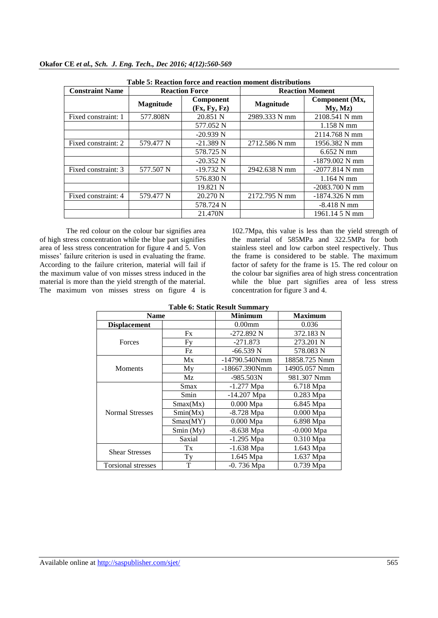| Table 5: Reaction force and reaction moment distributions |                       |                           |                        |                           |  |  |
|-----------------------------------------------------------|-----------------------|---------------------------|------------------------|---------------------------|--|--|
| <b>Constraint Name</b>                                    | <b>Reaction Force</b> |                           | <b>Reaction Moment</b> |                           |  |  |
|                                                           | <b>Magnitude</b>      | Component<br>(Fx, Fy, Fz) | Magnitude              | Component (Mx,<br>My, Mz) |  |  |
| Fixed constraint: 1                                       | 577.808N              | 20.851 N                  | 2989.333 N mm          | 2108.541 N mm             |  |  |
|                                                           |                       | 577.052 N                 |                        | $1.158$ N mm              |  |  |
|                                                           |                       | $-20.939$ N               |                        | 2114.768 N mm             |  |  |
| Fixed constraint: 2                                       | 579.477 N             | $-21.389$ N               | 2712.586 N mm          | 1956.382 N mm             |  |  |
|                                                           |                       | 578.725 N                 |                        | $6.652$ N mm              |  |  |
|                                                           |                       | $-20.352$ N               |                        | $-1879.002$ N mm          |  |  |
| Fixed constraint: 3                                       | 577.507 N             | $-19.732$ N               | 2942.638 N mm          | $-2077.814$ N mm          |  |  |
|                                                           |                       | 576.830 N                 |                        | $1.164$ N mm              |  |  |
|                                                           |                       | 19.821 N                  |                        | $-2083.700$ N mm          |  |  |
| Fixed constraint: 4                                       | 579.477 N             | 20.270 N                  | 2172.795 N mm          | $-1874.326$ N mm          |  |  |
|                                                           |                       | 578.724 N                 |                        | $-8.418$ N mm             |  |  |
|                                                           |                       | 21.470N                   |                        | 1961.14 5 N mm            |  |  |

The red colour on the colour bar signifies area of high stress concentration while the blue part signifies area of less stress concentration for figure 4 and 5. Von misses' failure criterion is used in evaluating the frame. According to the failure criterion, material will fail if the maximum value of von misses stress induced in the material is more than the yield strength of the material. The maximum von misses stress on figure 4 is

102.7Mpa, this value is less than the yield strength of the material of 585MPa and 322.5MPa for both stainless steel and low carbon steel respectively. Thus the frame is considered to be stable. The maximum factor of safety for the frame is 15. The red colour on the colour bar signifies area of high stress concentration while the blue part signifies area of less stress concentration for figure 3 and 4.

| Table v. Static Result Summal V |             |                 |                |  |  |  |  |  |
|---------------------------------|-------------|-----------------|----------------|--|--|--|--|--|
| <b>Name</b>                     |             | <b>Minimum</b>  | <b>Maximum</b> |  |  |  |  |  |
| <b>Displacement</b>             |             | $0.00$ mm       | 0.036          |  |  |  |  |  |
|                                 | Fx          | $-272.892$ N    | 372.183 N      |  |  |  |  |  |
| Forces                          | Fy          | $-271.873$      | 273.201 N      |  |  |  |  |  |
|                                 | Fz          | $-66.539 N$     | 578.083 N      |  |  |  |  |  |
|                                 | Mx          | $-14790.540Nmm$ | 18858.725 Nmm  |  |  |  |  |  |
| Moments                         | My          | -18667.390Nmm   | 14905.057 Nmm  |  |  |  |  |  |
|                                 | Mz          | -985.503N       | 981.307 Nmm    |  |  |  |  |  |
|                                 | Smax        | $-1.277$ Mpa    | 6.718 Mpa      |  |  |  |  |  |
|                                 | Smin        | $-14.207$ Mpa   | $0.283$ Mpa    |  |  |  |  |  |
|                                 | Smax(Mx)    | $0.000$ Mpa     | 6.845 Mpa      |  |  |  |  |  |
| <b>Normal Stresses</b>          | Smin(Mx)    | $-8.728$ Mpa    | $0.000$ Mpa    |  |  |  |  |  |
|                                 | Smax(MY)    | $0.000$ Mpa     | 6.898 Mpa      |  |  |  |  |  |
|                                 | Smin(My)    | $-8.638$ Mpa    | $-0.000$ Mpa   |  |  |  |  |  |
|                                 | Saxial      | $-1.295$ Mpa    | $0.310$ Mpa    |  |  |  |  |  |
| <b>Shear Stresses</b>           | Tx          | $-1.638$ Mpa    | 1.643 Mpa      |  |  |  |  |  |
|                                 | Ty          | 1.645 Mpa       | 1.637 Mpa      |  |  |  |  |  |
| <b>Torsional stresses</b>       | $\mathbf T$ | $-0.736$ Mpa    | $0.739$ Mpa    |  |  |  |  |  |

**Table 6: Static Result Summary**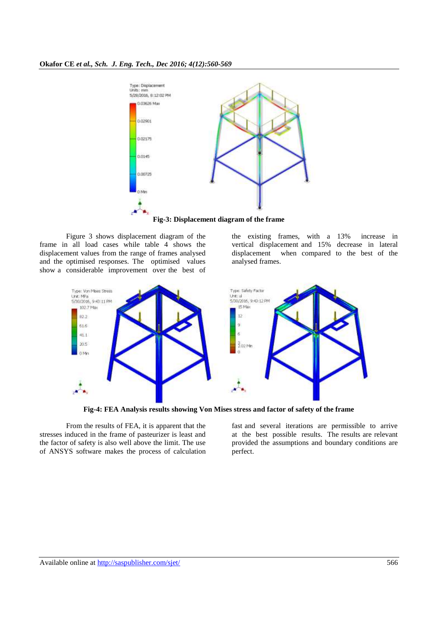

Figure 3 shows displacement diagram of the frame in all load cases while table 4 shows the displacement values from the range of frames analysed and the optimised responses. The optimised values show a considerable improvement over the best of the existing frames, with a 13% increase in vertical displacement and 15% decrease in lateral displacement when compared to the best of the analysed frames.



**Fig-4: FEA Analysis results showing Von Mises stress and factor of safety of the frame**

From the results of FEA, it is apparent that the stresses induced in the frame of pasteurizer is least and the factor of safety is also well above the limit. The use of ANSYS software makes the process of calculation fast and several iterations are permissible to arrive at the best possible results. The results are relevant provided the assumptions and boundary conditions are perfect.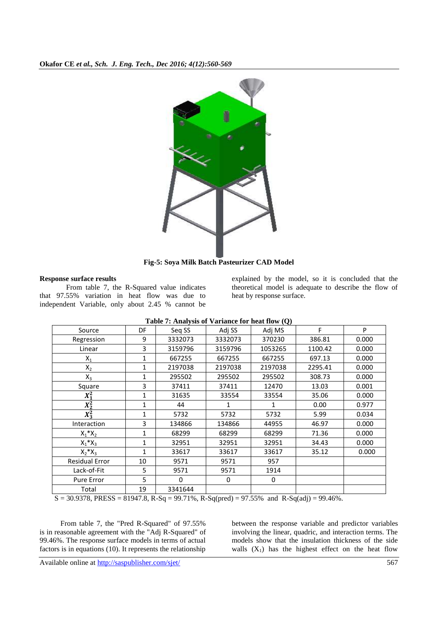

**Fig-5: Soya Milk Batch Pasteurizer CAD Model**

# **Response surface results**

From table 7, the R-Squared value indicates that 97.55% variation in heat flow was due to independent Variable, only about 2.45 % cannot be

explained by the model, so it is concluded that the theoretical model is adequate to describe the flow of heat by response surface.

| Source                | DF           | Seq SS  | Adj SS  | Adj MS  | F       | P     |
|-----------------------|--------------|---------|---------|---------|---------|-------|
| Regression            | 9            | 3332073 | 3332073 | 370230  | 386.81  | 0.000 |
| Linear                | 3            | 3159796 | 3159796 | 1053265 | 1100.42 | 0.000 |
| $X_1$                 | 1            | 667255  | 667255  | 667255  | 697.13  | 0.000 |
| $X_2$                 | $\mathbf{1}$ | 2197038 | 2197038 | 2197038 | 2295.41 | 0.000 |
| $X_3$                 | 1            | 295502  | 295502  | 295502  | 308.73  | 0.000 |
| Square                | 3            | 37411   | 37411   | 12470   | 13.03   | 0.001 |
| $X_1^2$               | 1            | 31635   | 33554   | 33554   | 35.06   | 0.000 |
| $X_2^2$               | 1            | 44      |         | 1       | 0.00    | 0.977 |
| $X_3^2$               | 1            | 5732    | 5732    | 5732    | 5.99    | 0.034 |
| Interaction           | 3            | 134866  | 134866  | 44955   | 46.97   | 0.000 |
| $X_1^*X_2$            | 1            | 68299   | 68299   | 68299   | 71.36   | 0.000 |
| $X_1^*X_3$            | 1            | 32951   | 32951   | 32951   | 34.43   | 0.000 |
| $X_2^*X_3$            | $\mathbf{1}$ | 33617   | 33617   | 33617   | 35.12   | 0.000 |
| <b>Residual Error</b> | 10           | 9571    | 9571    | 957     |         |       |
| Lack-of-Fit           | 5            | 9571    | 9571    | 1914    |         |       |
| <b>Pure Error</b>     | 5            | 0       | 0       | 0       |         |       |
| Total                 | 19           | 3341644 |         |         |         |       |

|  | Table 7: Analysis of Variance for heat flow (Q) |  |  |
|--|-------------------------------------------------|--|--|
|--|-------------------------------------------------|--|--|

 $S = 30.9378$ , PRESS = 81947.8, R-Sq = 99.71%, R-Sq(pred) = 97.55% and R-Sq(adj) = 99.46%.

From table 7, the "Pred R-Squared" of 97.55% is in reasonable agreement with the "Adj R-Squared" of 99.46%. The response surface models in terms of actual factors is in equations (10). It represents the relationship

between the response variable and predictor variables involving the linear, quadric, and interaction terms. The models show that the insulation thickness of the side walls  $(X_1)$  has the highest effect on the heat flow

Available online at<http://saspublisher.com/sjet/> 567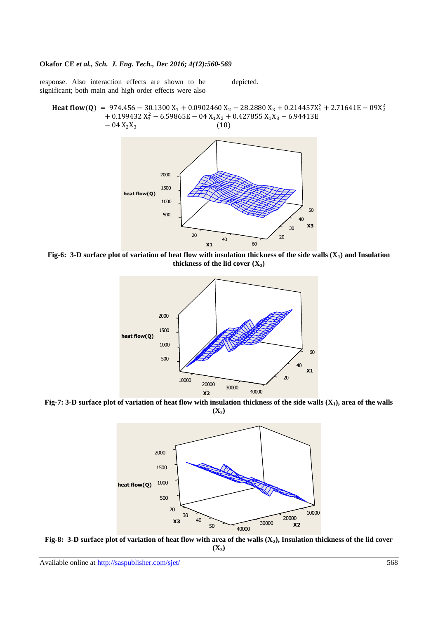response. Also interaction effects are shown to be significant; both main and high order effects were also

depicted.

**Heat flow(Q)** = 974.456 – 30.1300  $X_1$  + 0.0902460  $X_2$  – 28.2880  $X_3$  + 0.214457 $X_1^2$  + 2.71641E – 09 $X_2^2$  $+0.199432 X_3^2$  $\overline{\phantom{0}}$ 



**Fig-6: 3-D surface plot of variation of heat flow with insulation thickness of the side walls (X1) and Insulation thickness of the lid cover**  $(X_3)$ 



**Fig-7: 3-D surface plot of variation of heat flow with insulation thickness of the side walls (X1), area of the walls**   $(X_2)$ 



**Fig-8: 3-D surface plot of variation of heat flow with area of the walls (X2), Insulation thickness of the lid cover**   $(X_3)$